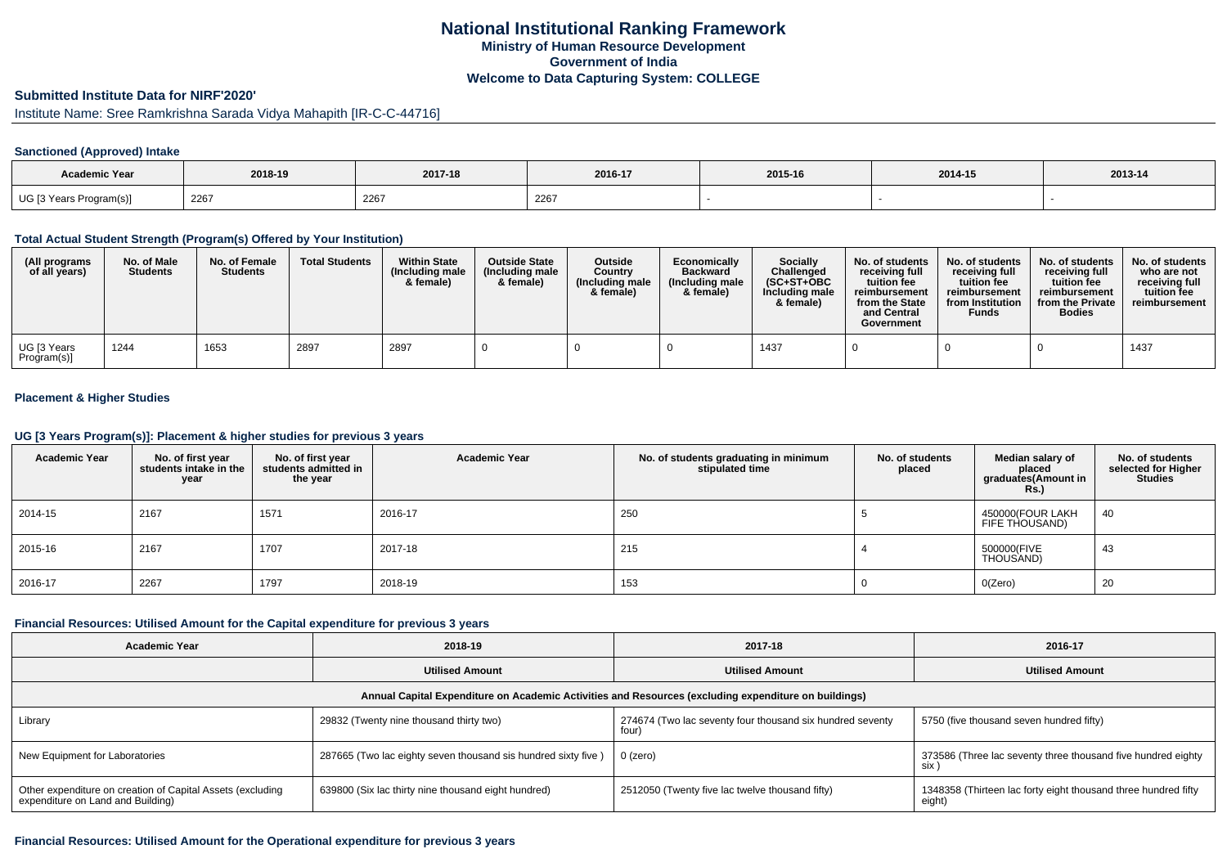### **Submitted Institute Data for NIRF'2020'**

# Institute Name: Sree Ramkrishna Sarada Vidya Mahapith [IR-C-C-44716]

#### **Sanctioned (Approved) Intake**

| Academic Year           | 2018-19 | 2017-18 | 2016-17 | 2015-16 | 2014-15 | $2013 - 14$ |
|-------------------------|---------|---------|---------|---------|---------|-------------|
| UG [3 Years Program(s)] | 2267    | 2267    | 2267    |         |         |             |

### **Total Actual Student Strength (Program(s) Offered by Your Institution)**

| (All programs<br>of all years) | No. of Male<br><b>Students</b> | No. of Female<br><b>Students</b> | <b>Total Students</b> | <b>Within State</b><br>(Including male)<br>& female) | <b>Outside State</b><br>(Including male<br>& female) | Outside<br>Country<br>(Including male)<br>& female) | Economically<br><b>Backward</b><br>(Including male<br>& female) | <b>Socially</b><br>Challenged<br>$(SC+ST+OBC)$<br>Including male<br>& female) | No. of students<br>receivina full<br>tuition fee<br>reimbursement<br>from the State<br>and Central<br>Government | No. of students<br>receiving full<br>tuition fee<br>reimbursement<br>from Institution<br><b>Funds</b> | No. of students<br>receiving full<br>tuition fee<br>reimbursement<br>from the Private<br><b>Bodies</b> | No. of students<br>who are not<br>receiving full<br>tuition fee<br>reimbursement |
|--------------------------------|--------------------------------|----------------------------------|-----------------------|------------------------------------------------------|------------------------------------------------------|-----------------------------------------------------|-----------------------------------------------------------------|-------------------------------------------------------------------------------|------------------------------------------------------------------------------------------------------------------|-------------------------------------------------------------------------------------------------------|--------------------------------------------------------------------------------------------------------|----------------------------------------------------------------------------------|
| UG [3 Years<br>Program(s)      | 1244                           | 1653                             | 2897                  | 2897                                                 |                                                      |                                                     |                                                                 | 1437                                                                          |                                                                                                                  |                                                                                                       |                                                                                                        | 1437                                                                             |

## **Placement & Higher Studies**

### **UG [3 Years Program(s)]: Placement & higher studies for previous 3 years**

| <b>Academic Year</b> | No. of first year<br>students intake in the<br>year | No. of first year<br>students admitted in<br>the year | <b>Academic Year</b> | No. of students graduating in minimum<br>stipulated time | No. of students<br>placed | Median salary of<br>placed<br>graduates(Amount in<br><b>Rs.)</b> | No. of students<br>selected for Higher<br><b>Studies</b> |
|----------------------|-----------------------------------------------------|-------------------------------------------------------|----------------------|----------------------------------------------------------|---------------------------|------------------------------------------------------------------|----------------------------------------------------------|
| 2014-15              | 2167                                                | 1571                                                  | 2016-17              | 250                                                      |                           | 450000(FOUR LAKH<br>FIFE THOUSAND)                               | 40                                                       |
| 2015-16              | 2167                                                | 1707                                                  | 2017-18              | 215                                                      |                           | 500000(FIVE<br>THOUSAND)                                         | 43                                                       |
| 2016-17              | 2267                                                | 1797                                                  | 2018-19              | 153                                                      |                           | O(Zero)                                                          | 20                                                       |

### **Financial Resources: Utilised Amount for the Capital expenditure for previous 3 years**

| <b>Academic Year</b>                                                                                 | 2018-19                                                       | 2017-18                                         | 2016-17                                                                  |  |  |  |  |  |  |  |  |
|------------------------------------------------------------------------------------------------------|---------------------------------------------------------------|-------------------------------------------------|--------------------------------------------------------------------------|--|--|--|--|--|--|--|--|
|                                                                                                      | <b>Utilised Amount</b>                                        | <b>Utilised Amount</b>                          | <b>Utilised Amount</b>                                                   |  |  |  |  |  |  |  |  |
| Annual Capital Expenditure on Academic Activities and Resources (excluding expenditure on buildings) |                                                               |                                                 |                                                                          |  |  |  |  |  |  |  |  |
| Library                                                                                              | 29832 (Twenty nine thousand thirty two)                       |                                                 | 5750 (five thousand seven hundred fifty)                                 |  |  |  |  |  |  |  |  |
| New Equipment for Laboratories                                                                       | 287665 (Two lac eighty seven thousand sis hundred sixty five) | 0 (zero)                                        | 373586 (Three lac seventy three thousand five hundred eighty<br>six      |  |  |  |  |  |  |  |  |
| Other expenditure on creation of Capital Assets (excluding<br>expenditure on Land and Building)      | 639800 (Six lac thirty nine thousand eight hundred)           | 2512050 (Twenty five lac twelve thousand fifty) | 1348358 (Thirteen lac forty eight thousand three hundred fifty<br>eight) |  |  |  |  |  |  |  |  |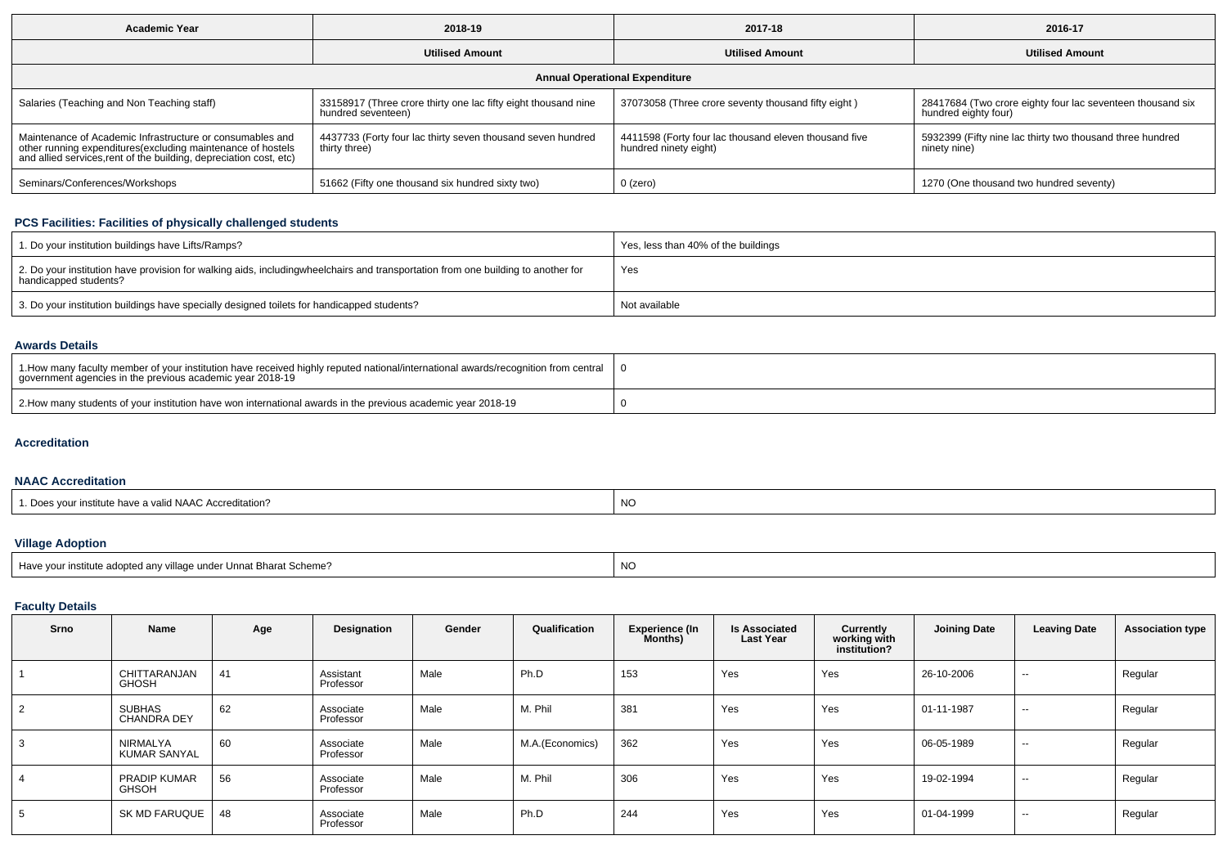| 2018-19<br><b>Academic Year</b>                                                                                                                                                                 |                                                                                      | 2017-18                                                                        | 2016-17                                                                            |  |  |  |  |  |  |  |  |
|-------------------------------------------------------------------------------------------------------------------------------------------------------------------------------------------------|--------------------------------------------------------------------------------------|--------------------------------------------------------------------------------|------------------------------------------------------------------------------------|--|--|--|--|--|--|--|--|
|                                                                                                                                                                                                 | <b>Utilised Amount</b>                                                               | <b>Utilised Amount</b>                                                         | <b>Utilised Amount</b>                                                             |  |  |  |  |  |  |  |  |
| <b>Annual Operational Expenditure</b>                                                                                                                                                           |                                                                                      |                                                                                |                                                                                    |  |  |  |  |  |  |  |  |
| Salaries (Teaching and Non Teaching staff)                                                                                                                                                      | 33158917 (Three crore thirty one lac fifty eight thousand nine<br>hundred seventeen) | 37073058 (Three crore seventy thousand fifty eight)                            | 28417684 (Two crore eighty four lac seventeen thousand six<br>hundred eighty four) |  |  |  |  |  |  |  |  |
| Maintenance of Academic Infrastructure or consumables and<br>other running expenditures (excluding maintenance of hostels<br>and allied services, rent of the building, depreciation cost, etc) | 4437733 (Forty four lac thirty seven thousand seven hundred<br>thirty three)         | 4411598 (Forty four lac thousand eleven thousand five<br>hundred ninety eight) | 5932399 (Fifty nine lac thirty two thousand three hundred<br>ninety nine)          |  |  |  |  |  |  |  |  |
| Seminars/Conferences/Workshops                                                                                                                                                                  | 51662 (Fifty one thousand six hundred sixty two)                                     | 0 (zero)                                                                       | 1270 (One thousand two hundred seventy)                                            |  |  |  |  |  |  |  |  |

## **PCS Facilities: Facilities of physically challenged students**

| 1. Do your institution buildings have Lifts/Ramps?                                                                                                        | Yes, less than 40% of the buildings |
|-----------------------------------------------------------------------------------------------------------------------------------------------------------|-------------------------------------|
| 2. Do your institution have provision for walking aids, includingwheelchairs and transportation from one building to another for<br>handicapped students? | Yes                                 |
| 3. Do your institution buildings have specially designed toilets for handicapped students?                                                                | Not available                       |

### **Awards Details**

| 1. How many faculty member of your institution have received highly reputed national/international awards/recognition from central<br>government agencies in the previous academic year 2018-19 |  |
|-------------------------------------------------------------------------------------------------------------------------------------------------------------------------------------------------|--|
| 2. How many students of your institution have won international awards in the previous academic year 2018-19                                                                                    |  |

## **Accreditation**

### **NAAC Accreditation**

| a valid NAAC Accreditation.<br>institute nave | NO |
|-----------------------------------------------|----|
|                                               |    |

# **Village Adoption**

| $m$ tod<br>$\sim$ don<br>hstitute<br>ำv villa⊾<br>?harat Scheme<br>hder Unn<br>Have vc<br>наг г<br>' ao comen any | $\overline{a}$<br>.NG |
|-------------------------------------------------------------------------------------------------------------------|-----------------------|
|-------------------------------------------------------------------------------------------------------------------|-----------------------|

# **Faculty Details**

| Srno | Name                                | Age | Designation            | Gender | Qualification   | <b>Experience (In</b><br>Months) | <b>Is Associated</b><br><b>Last Year</b> | <b>Currently</b><br>working with<br>institution? | <b>Joining Date</b> | <b>Leaving Date</b> | <b>Association type</b> |
|------|-------------------------------------|-----|------------------------|--------|-----------------|----------------------------------|------------------------------------------|--------------------------------------------------|---------------------|---------------------|-------------------------|
|      | CHITTARANJAN<br><b>GHOSH</b>        | 41  | Assistant<br>Professor | Male   | Ph.D            | 153                              | Yes                                      | Yes                                              | 26-10-2006          | $\sim$              | Regular                 |
| 2    | SUBHAS<br><b>CHANDRA DEY</b>        | 62  | Associate<br>Professor | Male   | M. Phil         | 381                              | Yes                                      | Yes                                              | 01-11-1987          | $\sim$              | Regular                 |
| 3    | NIRMALYA<br><b>KUMAR SANYAL</b>     | 60  | Associate<br>Professor | Male   | M.A.(Economics) | 362                              | Yes                                      | Yes                                              | 06-05-1989          | $\sim$              | Regular                 |
| 4    | <b>PRADIP KUMAR</b><br><b>GHSOH</b> | 56  | Associate<br>Professor | Male   | M. Phil         | 306                              | Yes                                      | Yes                                              | 19-02-1994          | $\sim$              | Regular                 |
| 5    | SK MD FARUQUE                       | 48  | Associate<br>Professor | Male   | Ph.D            | 244                              | Yes                                      | Yes                                              | 01-04-1999          | $\sim$              | Regular                 |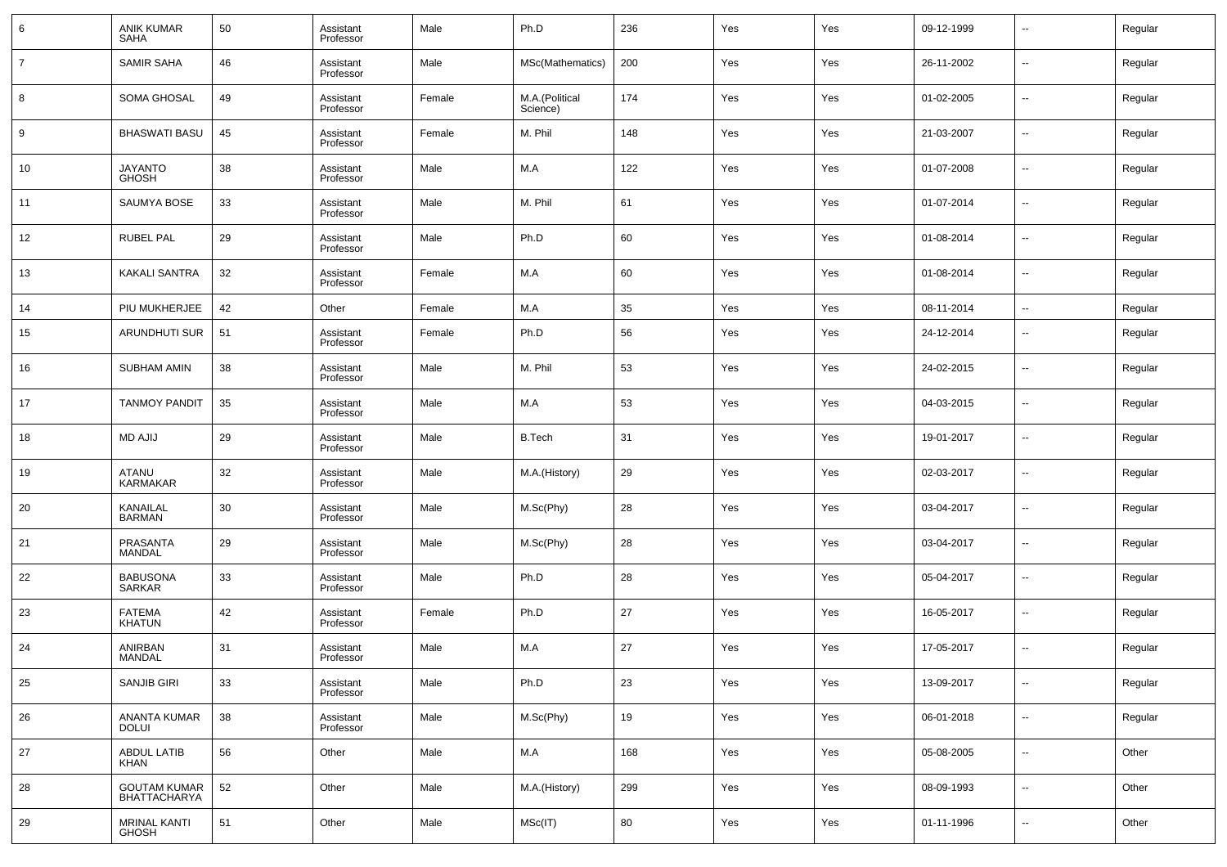| 6              | <b>ANIK KUMAR</b><br><b>SAHA</b>           | 50 | Assistant<br>Professor | Male   | Ph.D                       | 236 | Yes | Yes | 09-12-1999 | --                       | Regular |
|----------------|--------------------------------------------|----|------------------------|--------|----------------------------|-----|-----|-----|------------|--------------------------|---------|
| $\overline{7}$ | SAMIR SAHA                                 | 46 | Assistant<br>Professor | Male   | MSc(Mathematics)           | 200 | Yes | Yes | 26-11-2002 | $\overline{\phantom{a}}$ | Regular |
| 8              | <b>SOMA GHOSAL</b>                         | 49 | Assistant<br>Professor | Female | M.A.(Political<br>Science) | 174 | Yes | Yes | 01-02-2005 | $\overline{\phantom{a}}$ | Regular |
| 9              | <b>BHASWATI BASU</b>                       | 45 | Assistant<br>Professor | Female | M. Phil                    | 148 | Yes | Yes | 21-03-2007 | --                       | Regular |
| 10             | JAYANTO<br>GHOSH                           | 38 | Assistant<br>Professor | Male   | M.A                        | 122 | Yes | Yes | 01-07-2008 | $\overline{\phantom{a}}$ | Regular |
| 11             | SAUMYA BOSE                                | 33 | Assistant<br>Professor | Male   | M. Phil                    | 61  | Yes | Yes | 01-07-2014 | $\overline{\phantom{a}}$ | Regular |
| 12             | <b>RUBEL PAL</b>                           | 29 | Assistant<br>Professor | Male   | Ph.D                       | 60  | Yes | Yes | 01-08-2014 | $\overline{\phantom{a}}$ | Regular |
| 13             | <b>KAKALI SANTRA</b>                       | 32 | Assistant<br>Professor | Female | M.A                        | 60  | Yes | Yes | 01-08-2014 | $\overline{\phantom{a}}$ | Regular |
| 14             | PIU MUKHERJEE                              | 42 | Other                  | Female | M.A                        | 35  | Yes | Yes | 08-11-2014 | --                       | Regular |
| 15             | ARUNDHUTI SUR                              | 51 | Assistant<br>Professor | Female | Ph.D                       | 56  | Yes | Yes | 24-12-2014 | $\overline{\phantom{a}}$ | Regular |
| 16             | SUBHAM AMIN                                | 38 | Assistant<br>Professor | Male   | M. Phil                    | 53  | Yes | Yes | 24-02-2015 | $\overline{\phantom{a}}$ | Regular |
| 17             | <b>TANMOY PANDIT</b>                       | 35 | Assistant<br>Professor | Male   | M.A                        | 53  | Yes | Yes | 04-03-2015 | $\overline{\phantom{a}}$ | Regular |
| 18             | <b>MD AJIJ</b>                             | 29 | Assistant<br>Professor | Male   | <b>B.Tech</b>              | 31  | Yes | Yes | 19-01-2017 | $\overline{\phantom{a}}$ | Regular |
| 19             | ATANU<br><b>KARMAKAR</b>                   | 32 | Assistant<br>Professor | Male   | M.A.(History)              | 29  | Yes | Yes | 02-03-2017 | $\overline{\phantom{a}}$ | Regular |
| 20             | KANAILAL<br><b>BARMAN</b>                  | 30 | Assistant<br>Professor | Male   | M.Sc(Phy)                  | 28  | Yes | Yes | 03-04-2017 | $\overline{\phantom{a}}$ | Regular |
| 21             | PRASANTA<br><b>MANDAL</b>                  | 29 | Assistant<br>Professor | Male   | M.Sc(Phy)                  | 28  | Yes | Yes | 03-04-2017 | $\overline{\phantom{a}}$ | Regular |
| 22             | <b>BABUSONA</b><br><b>SARKAR</b>           | 33 | Assistant<br>Professor | Male   | Ph.D                       | 28  | Yes | Yes | 05-04-2017 | $\overline{\phantom{a}}$ | Regular |
| 23             | <b>FATEMA</b><br><b>KHATUN</b>             | 42 | Assistant<br>Professor | Female | Ph.D                       | 27  | Yes | Yes | 16-05-2017 | $\overline{\phantom{a}}$ | Regular |
| 24             | ANIRBAN<br>MANDAL                          | 31 | Assistant<br>Professor | Male   | M.A                        | 27  | Yes | Yes | 17-05-2017 | $\overline{\phantom{a}}$ | Regular |
| 25             | SANJIB GIRI                                | 33 | Assistant<br>Professor | Male   | Ph.D                       | 23  | Yes | Yes | 13-09-2017 | $\overline{\phantom{a}}$ | Regular |
| 26             | ANANTA KUMAR<br><b>DOLUI</b>               | 38 | Assistant<br>Professor | Male   | M.Sc(Phy)                  | 19  | Yes | Yes | 06-01-2018 | ۰.                       | Regular |
| 27             | <b>ABDUL LATIB</b><br><b>KHAN</b>          | 56 | Other                  | Male   | M.A                        | 168 | Yes | Yes | 05-08-2005 | ۰.                       | Other   |
| 28             | <b>GOUTAM KUMAR</b><br><b>BHATTACHARYA</b> | 52 | Other                  | Male   | M.A.(History)              | 299 | Yes | Yes | 08-09-1993 | ۰.                       | Other   |
| 29             | <b>MRINAL KANTI</b><br><b>GHOSH</b>        | 51 | Other                  | Male   | MSc(IT)                    | 80  | Yes | Yes | 01-11-1996 | $\overline{\phantom{a}}$ | Other   |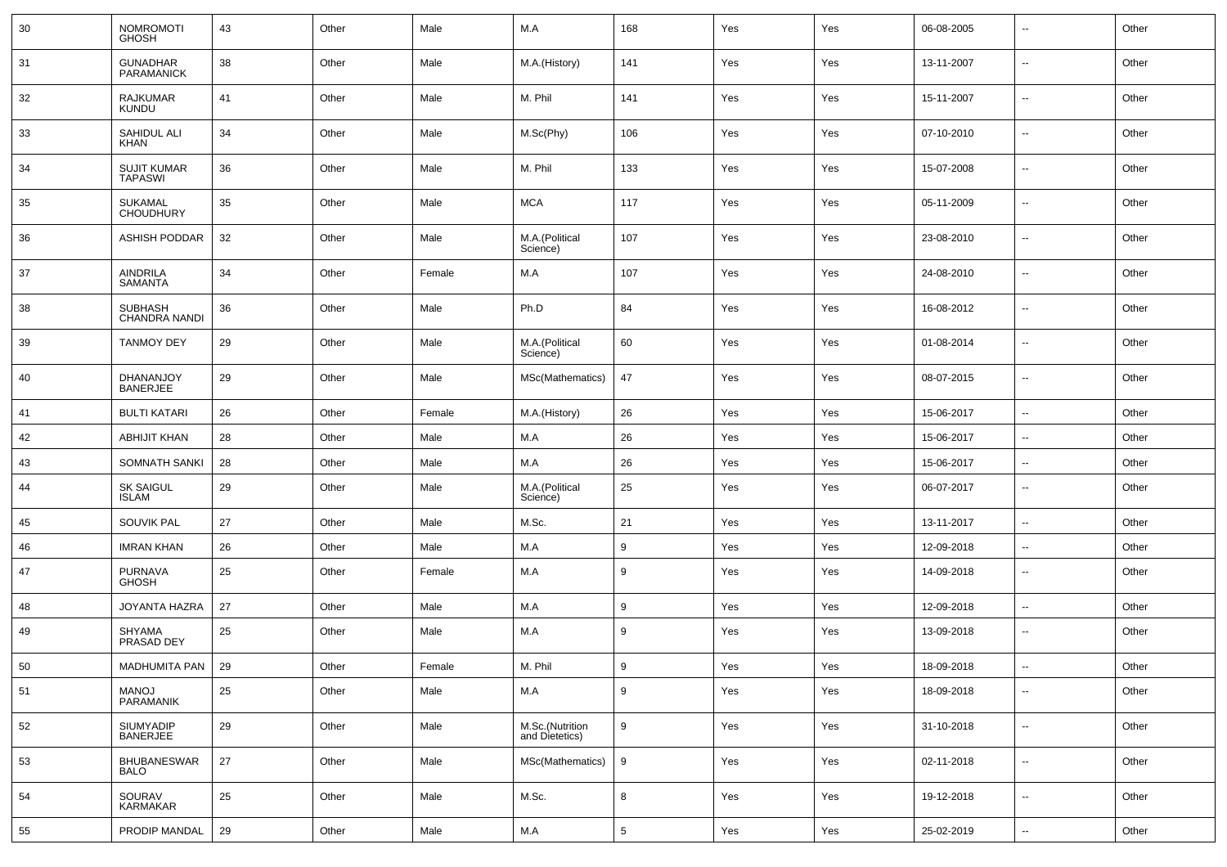| 30         | NOMROMOTI<br>GHOSH                   | 43 | Other | Male   | M.A                               | 168              | Yes | Yes | 06-08-2005 | н.                       | Other |
|------------|--------------------------------------|----|-------|--------|-----------------------------------|------------------|-----|-----|------------|--------------------------|-------|
| 31         | GUNADHAR<br>PARAMANICK               | 38 | Other | Male   | M.A.(History)                     | 141              | Yes | Yes | 13-11-2007 | н.                       | Other |
| 32         | RAJKUMAR<br><b>KUNDU</b>             | 41 | Other | Male   | M. Phil                           | 141              | Yes | Yes | 15-11-2007 | ⊷                        | Other |
| 33         | SAHIDUL ALI<br>KHAN                  | 34 | Other | Male   | M.Sc(Phy)                         | 106              | Yes | Yes | 07-10-2010 | н.                       | Other |
| 34         | <b>SUJIT KUMAR</b><br><b>TAPASWI</b> | 36 | Other | Male   | M. Phil                           | 133              | Yes | Yes | 15-07-2008 | ⊷                        | Other |
| 35         | <b>SUKAMAL</b><br><b>CHOUDHURY</b>   | 35 | Other | Male   | <b>MCA</b>                        | 117              | Yes | Yes | 05-11-2009 | $\overline{\phantom{a}}$ | Other |
| 36         | <b>ASHISH PODDAR</b>                 | 32 | Other | Male   | M.A.(Political<br>Science)        | 107              | Yes | Yes | 23-08-2010 | ⊷                        | Other |
| 37         | AINDRILA<br><b>SAMANTA</b>           | 34 | Other | Female | M.A                               | 107              | Yes | Yes | 24-08-2010 | $\overline{\phantom{a}}$ | Other |
| 38         | <b>SUBHASH</b><br>CHANDRA NANDI      | 36 | Other | Male   | Ph.D                              | 84               | Yes | Yes | 16-08-2012 | ⊷                        | Other |
| 39         | <b>TANMOY DEY</b>                    | 29 | Other | Male   | M.A.(Political<br>Science)        | 60               | Yes | Yes | 01-08-2014 | ⊷                        | Other |
| 40         | DHANANJOY<br>BANERJEE                | 29 | Other | Male   | MSc(Mathematics)                  | 47               | Yes | Yes | 08-07-2015 | ⊷                        | Other |
| 41         | <b>BULTI KATARI</b>                  | 26 | Other | Female | M.A.(History)                     | 26               | Yes | Yes | 15-06-2017 | $\sim$                   | Other |
| 42         | <b>ABHIJIT KHAN</b>                  | 28 | Other | Male   | M.A                               | 26               | Yes | Yes | 15-06-2017 | ⊷                        | Other |
| 43         | SOMNATH SANKI                        | 28 | Other | Male   | M.A                               | 26               | Yes | Yes | 15-06-2017 | ⊷                        | Other |
| 44         | <b>SK SAIGUL</b><br>ISLAM            | 29 | Other | Male   | M.A.(Political<br>Science)        | 25               | Yes | Yes | 06-07-2017 | -−                       | Other |
| 45         | <b>SOUVIK PAL</b>                    | 27 | Other | Male   | M.Sc.                             | 21               | Yes | Yes | 13-11-2017 | ⊷                        | Other |
| 46         | <b>IMRAN KHAN</b>                    | 26 | Other | Male   | M.A                               | 9                | Yes | Yes | 12-09-2018 | н.                       | Other |
| 47         | PURNAVA<br>GHOSH                     | 25 | Other | Female | M.A                               | 9                | Yes | Yes | 14-09-2018 | ⊷                        | Other |
| 48         | JOYANTA HAZRA                        | 27 | Other | Male   | M.A                               | 9                | Yes | Yes | 12-09-2018 | ٠.                       | Other |
| 49         | <b>SHYAMA</b><br>PRASAD DEY          | 25 | Other | Male   | M.A                               | 9                | Yes | Yes | 13-09-2018 | ⊶.                       | Other |
| 50         | MADHUMITA PAN                        | 29 | Other | Female | M. Phil                           | 9                | Yes | Yes | 18-09-2018 |                          | Other |
| 51         | MANOJ<br>PARAMANIK                   | 25 | Other | Male   | M.A                               | 9                | Yes | Yes | 18-09-2018 | $\overline{\phantom{a}}$ | Other |
| 52         | SIUMYADIP<br>BANERJEE                | 29 | Other | Male   | M.Sc.(Nutrition<br>and Dietetics) | $9\,$            | Yes | Yes | 31-10-2018 | $\overline{\phantom{a}}$ | Other |
| 53         | <b>BHUBANESWAR</b><br><b>BALO</b>    | 27 | Other | Male   | MSc(Mathematics)                  | $\boldsymbol{9}$ | Yes | Yes | 02-11-2018 | $\overline{\phantom{a}}$ | Other |
| 54         | SOURAV<br>KARMAKAR                   | 25 | Other | Male   | M.Sc.                             | 8                | Yes | Yes | 19-12-2018 | $\overline{\phantom{a}}$ | Other |
| ${\bf 55}$ | PRODIP MANDAL                        | 29 | Other | Male   | M.A                               | $5\phantom{.0}$  | Yes | Yes | 25-02-2019 | $\overline{\phantom{a}}$ | Other |